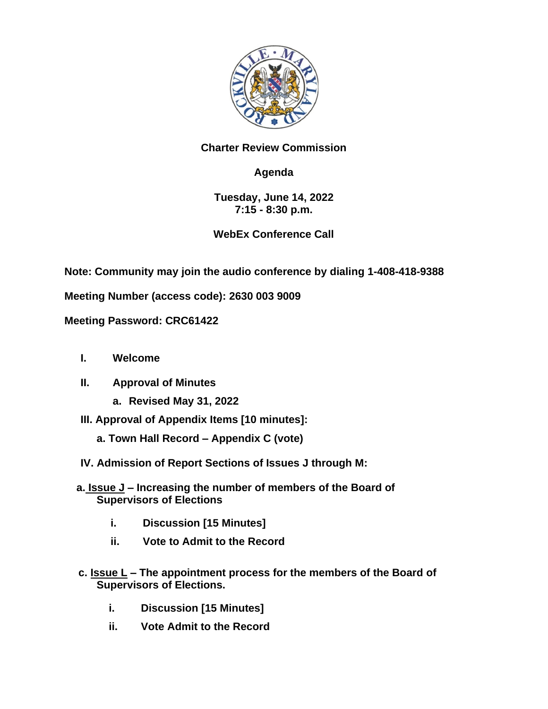

## **Charter Review Commission**

## **Agenda**

## **Tuesday, June 14, 2022 7:15 - 8:30 p.m.**

## **WebEx Conference Call**

**Note: Community may join the audio conference by dialing 1-408-418-9388**

**Meeting Number (access code): 2630 003 9009**

**Meeting Password: CRC61422**

- **I. Welcome**
- **II. Approval of Minutes** 
	- **a. Revised May 31, 2022**
- **III. Approval of Appendix Items [10 minutes]:**
	- **a. Town Hall Record – Appendix C (vote)**
- **IV. Admission of Report Sections of Issues J through M:**
- **a. Issue J – Increasing the number of members of the Board of Supervisors of Elections**
	- **i. Discussion [15 Minutes]**
	- **ii. Vote to Admit to the Record**
- **c. Issue L – The appointment process for the members of the Board of Supervisors of Elections.**
	- **i. Discussion [15 Minutes]**
	- **ii. Vote Admit to the Record**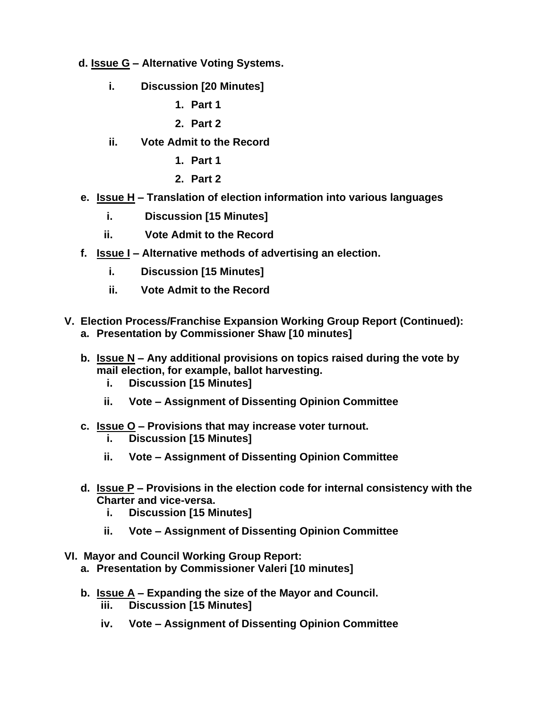- **d. Issue G – Alternative Voting Systems.**
	- **i. Discussion [20 Minutes]**
		- **1. Part 1**
		- **2. Part 2**
	- **ii. Vote Admit to the Record**
		- **1. Part 1**
		- **2. Part 2**
- **e. Issue H – Translation of election information into various languages** 
	- **i. Discussion [15 Minutes]**
	- **ii. Vote Admit to the Record**
- **f. Issue I – Alternative methods of advertising an election.**
	- **i. Discussion [15 Minutes]**
	- **ii. Vote Admit to the Record**
- **V. Election Process/Franchise Expansion Working Group Report (Continued): a. Presentation by Commissioner Shaw [10 minutes]**
	- **b. Issue N – Any additional provisions on topics raised during the vote by mail election, for example, ballot harvesting.**
		- **i. Discussion [15 Minutes]**
		- **ii. Vote – Assignment of Dissenting Opinion Committee**
	- **c. Issue O – Provisions that may increase voter turnout.**
		- **i. Discussion [15 Minutes]**
		- **ii. Vote – Assignment of Dissenting Opinion Committee**
	- **d. Issue P – Provisions in the election code for internal consistency with the Charter and vice-versa.**
		- **i. Discussion [15 Minutes]**
		- **ii. Vote – Assignment of Dissenting Opinion Committee**
- **VI. Mayor and Council Working Group Report:**
	- **a. Presentation by Commissioner Valeri [10 minutes]**
	- **b. Issue A – Expanding the size of the Mayor and Council. iii. Discussion [15 Minutes]**
		- **iv. Vote – Assignment of Dissenting Opinion Committee**